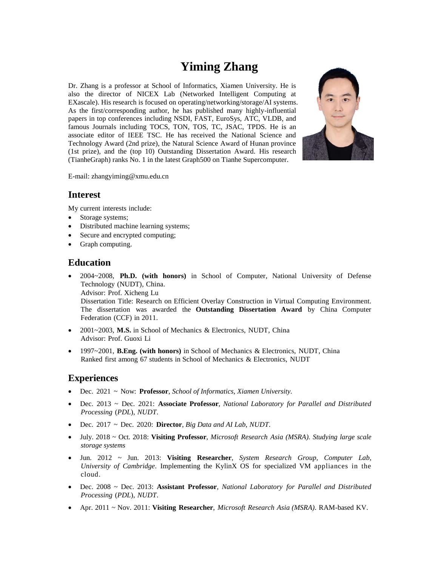# **Yiming Zhang**

Dr. Zhang is a professor at School of Informatics, Xiamen University. He is also the director of NICEX Lab (Networked Intelligent Computing at EXascale). His research is focused on operating/networking/storage/AI systems. As the first/corresponding author, he has published many highly-influential papers in top conferences including NSDI, FAST, EuroSys, ATC, VLDB, and famous Journals including TOCS, TON, TOS, TC, JSAC, TPDS. He is an associate editor of IEEE TSC. He has received the National Science and Technology Award (2nd prize), the Natural Science Award of Hunan province (1st prize), and the (top 10) Outstanding Dissertation Award. His research (TianheGraph) ranks No. 1 in the latest Graph500 on Tianhe Supercomputer.



E-mail: zhangyiming@xmu.edu.cn

## **Interest**

My current interests include:

- Storage systems;
- Distributed machine learning systems;
- Secure and encrypted computing;
- Graph computing.

# **Education**

 2004~2008, **Ph.D. (with honors)** in School of Computer, National University of Defense Technology (NUDT), China.

Advisor: Prof. Xicheng Lu

Dissertation Title: Research on Efficient Overlay Construction in Virtual Computing Environment. The dissertation was awarded the **Outstanding Dissertation Award** by China Computer Federation (CCF) in 2011.

- 2001~2003, **M.S.** in School of Mechanics & Electronics, NUDT, China Advisor: Prof. Guoxi Li
- 1997~2001, **B.Eng. (with honors)** in School of Mechanics & Electronics, NUDT, China Ranked first among 67 students in School of Mechanics & Electronics, NUDT

# **Experiences**

- Dec. 2021 ~ Now: **Professor**, *School of Informatics, Xiamen University.*
- Dec. 2013 ~ Dec. 2021: **Associate Professor**, *National Laboratory for Parallel and Distributed Processing* (*PDL*), *NUDT*.
- Dec. 2017 ~ Dec. 2020: **Director**, *Big Data and AI Lab*, *NUDT*.
- July. 2018 ~ Oct. 2018: **Visiting Professor**, *Microsoft Research Asia (MSRA). Studying large scale storage systems*
- Jun. 2012 ~ Jun. 2013: **Visiting Researcher**, *System Research Group, Computer Lab, University of Cambridge*. Implementing the KylinX OS for specialized VM appliances in the cloud.
- Dec. 2008 ~ Dec. 2013: **Assistant Professor**, *National Laboratory for Parallel and Distributed Processing* (*PDL*), *NUDT*.
- Apr. 2011 ~ Nov. 2011: **Visiting Researcher**, *Microsoft Research Asia (MSRA)*. RAM-based KV.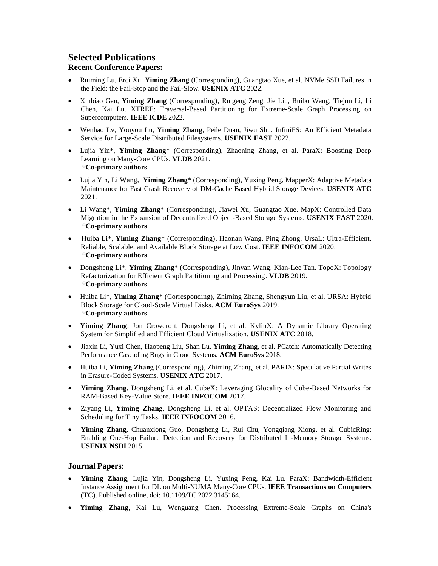# **Selected Publications**

#### **Recent Conference Papers:**

- Ruiming Lu, Erci Xu, **Yiming Zhang** (Corresponding), Guangtao Xue, et al. NVMe SSD Failures in the Field: the Fail-Stop and the Fail-Slow. **USENIX ATC** 2022.
- Xinbiao Gan, **Yiming Zhang** (Corresponding), Ruigeng Zeng, Jie Liu, Ruibo Wang, Tiejun Li, Li Chen, Kai Lu. XTREE: Traversal-Based Partitioning for Extreme-Scale Graph Processing on Supercomputers. **IEEE ICDE** 2022.
- Wenhao Lv, Youyou Lu, **Yiming Zhang**, Peile Duan, Jiwu Shu. InfiniFS: An Efficient Metadata Service for Large-Scale Distributed Filesystems. **USENIX FAST** 2022.
- Lujia Yin\*, **Yiming Zhang**\* (Corresponding), Zhaoning Zhang, et al. ParaX: Boosting Deep Learning on Many-Core CPUs. **VLDB** 2021. \***Co-primary authors**
- Lujia Yin, Li Wang, **Yiming Zhang**\* (Corresponding), Yuxing Peng. MapperX: Adaptive Metadata Maintenance for Fast Crash Recovery of DM-Cache Based Hybrid Storage Devices. **USENIX ATC** 2021.
- Li Wang\*, **Yiming Zhang**\* (Corresponding), Jiawei Xu, Guangtao Xue. MapX: Controlled Data Migration in the Expansion of Decentralized Object-Based Storage Systems. **USENIX FAST** 2020. \***Co-primary authors**
- Huiba Li\*, **Yiming Zhang**\* (Corresponding), Haonan Wang, Ping Zhong. UrsaL: Ultra-Efficient, Reliable, Scalable, and Available Block Storage at Low Cost. **IEEE INFOCOM** 2020. \***Co-primary authors**
- Dongsheng Li<sup>\*</sup>, **Yiming Zhang**<sup>\*</sup> (Corresponding), Jinyan Wang, Kian-Lee Tan. TopoX: Topology Refactorization for Efficient Graph Partitioning and Processing. **VLDB** 2019. \***Co-primary authors**
- Huiba Li\*, **Yiming Zhang**\* (Corresponding), Zhiming Zhang, Shengyun Liu, et al. URSA: Hybrid Block Storage for Cloud-Scale Virtual Disks. **ACM EuroSys** 2019. \***Co-primary authors**
- **Yiming Zhang**, Jon Crowcroft, Dongsheng Li, et al. KylinX: A Dynamic Library Operating System for Simplified and Efficient Cloud Virtualization. **USENIX ATC** 2018.
- Jiaxin Li, Yuxi Chen, Haopeng Liu, Shan Lu, **Yiming Zhang**, et al. PCatch: Automatically Detecting Performance Cascading Bugs in Cloud Systems. **ACM EuroSys** 2018.
- Huiba Li, **Yiming Zhang** (Corresponding), Zhiming Zhang, et al. PARIX: Speculative Partial Writes in Erasure-Coded Systems. **USENIX ATC** 2017.
- **Yiming Zhang**, Dongsheng Li, et al. CubeX: Leveraging Glocality of Cube-Based Networks for RAM-Based Key-Value Store. **IEEE INFOCOM** 2017.
- Ziyang Li, **Yiming Zhang**, Dongsheng Li, et al. OPTAS: Decentralized Flow Monitoring and Scheduling for Tiny Tasks. **IEEE INFOCOM** 2016.
- **Yiming Zhang**, Chuanxiong Guo, Dongsheng Li, Rui Chu, Yongqiang Xiong, et al. CubicRing: Enabling One-Hop Failure Detection and Recovery for Distributed In-Memory Storage Systems. **USENIX NSDI** 2015.

#### **Journal Papers:**

- **Yiming Zhang**, Lujia Yin, Dongsheng Li, Yuxing Peng, Kai Lu. ParaX: Bandwidth-Efficient Instance Assignment for DL on Multi-NUMA Many-Core CPUs. **IEEE Transactions on Computers (TC)**. Published online, doi: 10.1109/TC.2022.3145164.
- **Yiming Zhang**, Kai Lu, Wenguang Chen. Processing Extreme-Scale Graphs on China's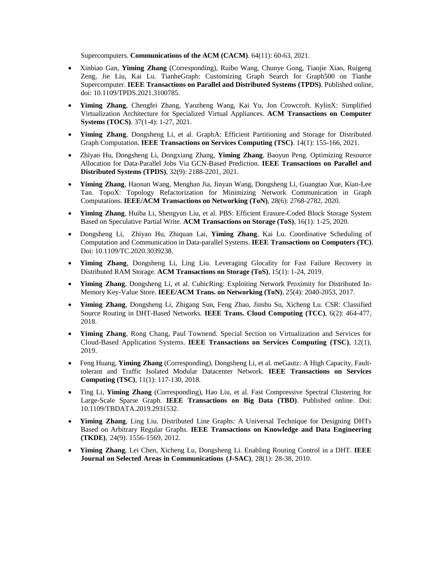Supercomputers. **Communications of the ACM (CACM)**. 64(11): 60-63, 2021.

- Xinbiao Gan, **Yiming Zhang** (Corresponding), Ruibo Wang, Chunye Gong, Tiaojie Xiao, Ruigeng Zeng, Jie Liu, Kai Lu. TianheGraph: Customizing Graph Search for Graph500 on Tianhe Supercomputer. **IEEE Transactions on Parallel and Distributed Systems (TPDS)**. Published online, doi: 10.1109/TPDS.2021.3100785.
- **Yiming Zhang**, Chengfei Zhang, Yaozheng Wang, Kai Yu, Jon Crowcroft. KylinX: Simplified Virtualization Architecture for Specialized Virtual Appliances. **ACM Transactions on Computer Systems (TOCS)**. 37(1-4): 1-27, 2021.
- **Yiming Zhang**, Dongsheng Li, et al. GraphA: Efficient Partitioning and Storage for Distributed Graph Computation. **IEEE Transactions on Services Computing (TSC)**. 14(1): 155-166, 2021.
- Zhiyao Hu, Dongsheng Li, Dongxiang Zhang, **Yiming Zhang**, Baoyun Peng. Optimizing Resource Allocation for Data-Parallel Jobs Via GCN-Based Prediction. **IEEE Transactions on Parallel and Distributed Systems (TPDS)**, 32(9): 2188-2201, 2021.
- **Yiming Zhang**, Haonan Wang, Menghan Jia, Jinyan Wang, Dongsheng Li, Guangtao Xue, Kian-Lee Tan. TopoX: Topology Refactorization for Minimizing Network Communication in Graph Computations. **IEEE/ACM Transactions on Networking (ToN)**, 28(6): 2768-2782, 2020.
- **Yiming Zhang**, Huiba Li, Shengyun Liu, et al. PBS: Efficient Erasure-Coded Block Storage System Based on Speculative Partial Write. **ACM Transactions on Storage (ToS)**, 16(1): 1-25, 2020.
- Dongsheng Li, Zhiyao Hu, Zhiquan Lai, **Yiming Zhang**, Kai Lu. Coordinative Scheduling of Computation and Communication in Data-parallel Systems. **IEEE Transactions on Computers (TC)**. Doi: 10.1109/TC.2020.3039238.
- **Yiming Zhang**, Dongsheng Li, Ling Liu. Leveraging Glocality for Fast Failure Recovery in Distributed RAM Storage. **ACM Transactions on Storage (ToS)**, 15(1): 1-24, 2019.
- **Yiming Zhang**, Dongsheng Li, et al. CubicRing: Exploiting Network Proximity for Distributed In-Memory Key-Value Store. **IEEE/ACM Trans. on Networking (ToN)**, 25(4): 2040-2053, 2017.
- **Yiming Zhang**, Dongsheng Li, Zhigang Sun, Feng Zhao, Jinshu Su, Xicheng Lu. CSR: Classified Source Routing in DHT-Based Networks. **IEEE Trans. Cloud Computing (TCC)**, 6(2): 464-477, 2018.
- **Yiming Zhang**, Rong Chang, Paul Townend. Special Section on Virtualization and Services for Cloud-Based Application Systems. **IEEE Transactions on Services Computing (TSC)**, 12(1), 2019.
- Feng Huang, **Yiming Zhang** (Corresponding), Dongsheng Li, et al. meGautz: A High Capacity, Faulttolerant and Traffic Isolated Modular Datacenter Network. **IEEE Transactions on Services Computing (TSC)**, 11(1): 117-130, 2018.
- Ting Li, **Yiming Zhang** (Corresponding), Hao Liu, et al. Fast Compressive Spectral Clustering for Large-Scale Sparse Graph. **IEEE Transactions on Big Data (TBD)**. Published online. Doi: 10.1109/TBDATA.2019.2931532.
- **Yiming Zhang**, Ling Liu. Distributed Line Graphs: A Universal Technique for Designing DHTs Based on Arbitrary Regular Graphs. **IEEE Transactions on Knowledge and Data Engineering (TKDE)**, 24(9): 1556-1569, 2012.
- **Yiming Zhang**, Lei Chen, Xicheng Lu, Dongsheng Li. Enabling Routing Control in a DHT. **IEEE Journal on Selected Areas in Communications (J-SAC)**, 28(1): 28-38, 2010.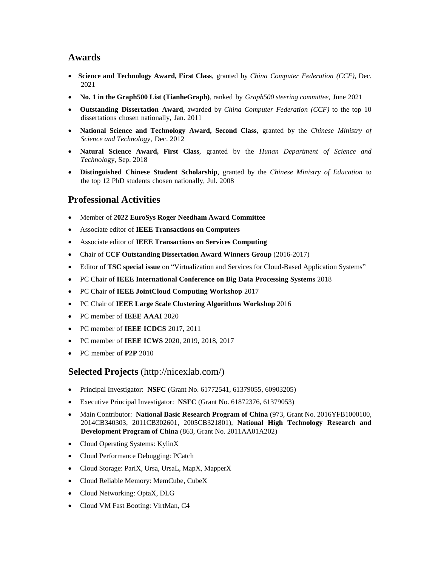## **Awards**

- **Science and Technology Award, First Class**, granted by *China Computer Federation (CCF)*, Dec. 2021
- **No. 1 in the Graph500 List (TianheGraph)**, ranked by *Graph500 steering committee*, June 2021
- **Outstanding Dissertation Award**, awarded by *China Computer Federation (CCF)* to the top 10 dissertations chosen nationally, Jan. 2011
- **National Science and Technology Award, Second Class**, granted by the *Chinese Ministry of Science and Technology*, Dec. 2012
- **Natural Science Award, First Class**, granted by the *Hunan Department of Science and Technolo*gy, Sep. 2018
- **Distinguished Chinese Student Scholarship**, granted by the *Chinese Ministry of Education* to the top 12 PhD students chosen nationally, Jul. 2008

# **Professional Activities**

- Member of **2022 EuroSys Roger Needham Award Committee**
- Associate editor of **IEEE Transactions on Computers**
- Associate editor of **IEEE Transactions on Services Computing**
- Chair of **CCF Outstanding Dissertation Award Winners Group** (2016-2017)
- Editor of **TSC special issue** on "Virtualization and Services for Cloud-Based Application Systems"
- PC Chair of **IEEE International Conference on Big Data Processing Systems** 2018
- PC Chair of **IEEE JointCloud Computing Workshop** 2017
- PC Chair of **IEEE Large Scale Clustering Algorithms Workshop** 2016
- PC member of **IEEE AAAI** 2020
- PC member of **IEEE ICDCS** 2017, 2011
- PC member of **IEEE ICWS** 2020, 2019, 2018, 2017
- PC member of **P2P** 2010

# **Selected Projects** (http://nicexlab.com/)

- Principal Investigator: **NSFC** (Grant No. 61772541, 61379055, 60903205)
- Executive Principal Investigator: **NSFC** (Grant No. 61872376, 61379053)
- Main Contributor: **National Basic Research Program of China** (973, Grant No. 2016YFB1000100, 2014CB340303, 2011CB302601, 2005CB321801), **National High Technology Research and Development Program of China** (863, Grant No. 2011AA01A202)
- Cloud Operating Systems: KylinX
- Cloud Performance Debugging: PCatch
- Cloud Storage: PariX, Ursa, UrsaL, MapX, MapperX
- Cloud Reliable Memory: MemCube, CubeX
- Cloud Networking: OptaX, DLG
- Cloud VM Fast Booting: VirtMan, C4